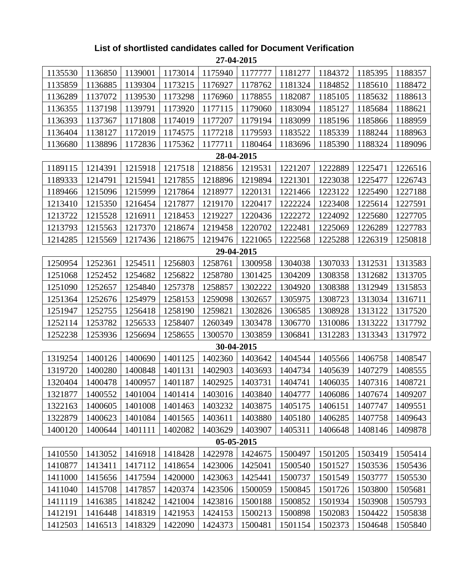| 27-04-2015                                                                                                 |         |         |         |            |         |         |         |         |         |  |  |
|------------------------------------------------------------------------------------------------------------|---------|---------|---------|------------|---------|---------|---------|---------|---------|--|--|
| 1135530                                                                                                    | 1136850 | 1139001 | 1173014 | 1175940    | 1177777 | 1181277 | 1184372 | 1185395 | 1188357 |  |  |
| 1135859                                                                                                    | 1136885 | 1139304 | 1173215 | 1176927    | 1178762 | 1181324 | 1184852 | 1185610 | 1188472 |  |  |
| 1136289                                                                                                    | 1137072 | 1139530 | 1173298 | 1176960    | 1178855 | 1182087 | 1185105 | 1185632 | 1188613 |  |  |
| 1136355                                                                                                    | 1137198 | 1139791 | 1173920 | 1177115    | 1179060 | 1183094 | 1185127 | 1185684 | 1188621 |  |  |
| 1136393                                                                                                    | 1137367 | 1171808 | 1174019 | 1177207    | 1179194 | 1183099 | 1185196 | 1185866 | 1188959 |  |  |
| 1136404                                                                                                    | 1138127 | 1172019 | 1174575 | 1177218    | 1179593 | 1183522 | 1185339 | 1188244 | 1188963 |  |  |
| 1136680                                                                                                    | 1138896 | 1172836 | 1175362 | 1177711    | 1180464 | 1183696 | 1185390 | 1188324 | 1189096 |  |  |
| 28-04-2015                                                                                                 |         |         |         |            |         |         |         |         |         |  |  |
| 1189115<br>1214391<br>1215918<br>1217518<br>1218856<br>1221207<br>1222889<br>1225471<br>1226516<br>1219531 |         |         |         |            |         |         |         |         |         |  |  |
| 1189333                                                                                                    | 1214791 | 1215941 | 1217855 | 1218896    | 1219894 | 1221301 | 1223038 | 1225477 | 1226743 |  |  |
| 1189466                                                                                                    | 1215096 | 1215999 | 1217864 | 1218977    | 1220131 | 1221466 | 1223122 | 1225490 | 1227188 |  |  |
| 1213410                                                                                                    | 1215350 | 1216454 | 1217877 | 1219170    | 1220417 | 1222224 | 1223408 | 1225614 | 1227591 |  |  |
| 1213722                                                                                                    | 1215528 | 1216911 | 1218453 | 1219227    | 1220436 | 1222272 | 1224092 | 1225680 | 1227705 |  |  |
| 1213793                                                                                                    | 1215563 | 1217370 | 1218674 | 1219458    | 1220702 | 1222481 | 1225069 | 1226289 | 1227783 |  |  |
| 1214285                                                                                                    | 1215569 | 1217436 | 1218675 | 1219476    | 1221065 | 1222568 | 1225288 | 1226319 | 1250818 |  |  |
| 29-04-2015                                                                                                 |         |         |         |            |         |         |         |         |         |  |  |
| 1250954                                                                                                    | 1252361 | 1254511 | 1256803 | 1258761    | 1300958 | 1304038 | 1307033 | 1312531 | 1313583 |  |  |
| 1251068                                                                                                    | 1252452 | 1254682 | 1256822 | 1258780    | 1301425 | 1304209 | 1308358 | 1312682 | 1313705 |  |  |
| 1251090                                                                                                    | 1252657 | 1254840 | 1257378 | 1258857    | 1302222 | 1304920 | 1308388 | 1312949 | 1315853 |  |  |
| 1251364                                                                                                    | 1252676 | 1254979 | 1258153 | 1259098    | 1302657 | 1305975 | 1308723 | 1313034 | 1316711 |  |  |
| 1251947                                                                                                    | 1252755 | 1256418 | 1258190 | 1259821    | 1302826 | 1306585 | 1308928 | 1313122 | 1317520 |  |  |
| 1252114                                                                                                    | 1253782 | 1256533 | 1258407 | 1260349    | 1303478 | 1306770 | 1310086 | 1313222 | 1317792 |  |  |
| 1252238                                                                                                    | 1253936 | 1256694 | 1258655 | 1300570    | 1303859 | 1306841 | 1312283 | 1313343 | 1317972 |  |  |
|                                                                                                            |         |         |         | 30-04-2015 |         |         |         |         |         |  |  |
| 1319254                                                                                                    | 1400126 | 1400690 | 1401125 | 1402360    | 1403642 | 1404544 | 1405566 | 1406758 | 1408547 |  |  |
| 1319720                                                                                                    | 1400280 | 1400848 | 1401131 | 1402903    | 1403693 | 1404734 | 1405639 | 1407279 | 1408555 |  |  |
| 1320404                                                                                                    | 1400478 | 1400957 | 1401187 | 1402925    | 1403731 | 1404741 | 1406035 | 1407316 | 1408721 |  |  |
| 1321877                                                                                                    | 1400552 | 1401004 | 1401414 | 1403016    | 1403840 | 1404777 | 1406086 | 1407674 | 1409207 |  |  |
| 1322163                                                                                                    | 1400605 | 1401008 | 1401463 | 1403232    | 1403875 | 1405175 | 1406151 | 1407747 | 1409551 |  |  |
| 1322879                                                                                                    | 1400623 | 1401084 | 1401565 | 1403611    | 1403880 | 1405180 | 1406285 | 1407758 | 1409643 |  |  |
| 1400120                                                                                                    | 1400644 | 1401111 | 1402082 | 1403629    | 1403907 | 1405311 | 1406648 | 1408146 | 1409878 |  |  |
| 05-05-2015                                                                                                 |         |         |         |            |         |         |         |         |         |  |  |
| 1410550                                                                                                    | 1413052 | 1416918 | 1418428 | 1422978    | 1424675 | 1500497 | 1501205 | 1503419 | 1505414 |  |  |
| 1410877                                                                                                    | 1413411 | 1417112 | 1418654 | 1423006    | 1425041 | 1500540 | 1501527 | 1503536 | 1505436 |  |  |
| 1411000                                                                                                    | 1415656 | 1417594 | 1420000 | 1423063    | 1425441 | 1500737 | 1501549 | 1503777 | 1505530 |  |  |
| 1411040                                                                                                    | 1415708 | 1417857 | 1420374 | 1423506    | 1500059 | 1500845 | 1501726 | 1503800 | 1505681 |  |  |
| 1411119                                                                                                    | 1416385 | 1418242 | 1421004 | 1423816    | 1500188 | 1500852 | 1501934 | 1503908 | 1505793 |  |  |
| 1412191                                                                                                    | 1416448 | 1418319 | 1421953 | 1424153    | 1500213 | 1500898 | 1502083 | 1504422 | 1505838 |  |  |
| 1412503                                                                                                    | 1416513 | 1418329 | 1422090 | 1424373    | 1500481 | 1501154 | 1502373 | 1504648 | 1505840 |  |  |

## **List of shortlisted candidates called for Document Verification**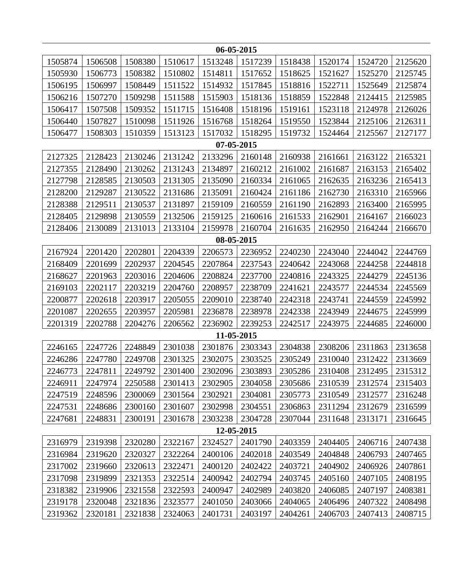| 06-05-2015                                                                                                 |         |         |         |            |         |         |         |         |         |  |  |
|------------------------------------------------------------------------------------------------------------|---------|---------|---------|------------|---------|---------|---------|---------|---------|--|--|
| 1505874                                                                                                    | 1506508 | 1508380 | 1510617 | 1513248    | 1517239 | 1518438 | 1520174 | 1524720 | 2125620 |  |  |
| 1505930                                                                                                    | 1506773 | 1508382 | 1510802 | 1514811    | 1517652 | 1518625 | 1521627 | 1525270 | 2125745 |  |  |
| 1506195                                                                                                    | 1506997 | 1508449 | 1511522 | 1514932    | 1517845 | 1518816 | 1522711 | 1525649 | 2125874 |  |  |
| 1506216                                                                                                    | 1507270 | 1509298 | 1511588 | 1515903    | 1518136 | 1518859 | 1522848 | 2124415 | 2125985 |  |  |
| 1506417                                                                                                    | 1507508 | 1509352 | 1511715 | 1516408    | 1518196 | 1519161 | 1523118 | 2124978 | 2126026 |  |  |
| 1506440                                                                                                    | 1507827 | 1510098 | 1511926 | 1516768    | 1518264 | 1519550 | 1523844 | 2125106 | 2126311 |  |  |
| 1506477                                                                                                    | 1508303 | 1510359 | 1513123 | 1517032    | 1518295 | 1519732 | 1524464 | 2125567 | 2127177 |  |  |
| 07-05-2015                                                                                                 |         |         |         |            |         |         |         |         |         |  |  |
| 2127325<br>2128423<br>2130246<br>2131242<br>2133296<br>2163122<br>2165321<br>2160148<br>2160938<br>2161661 |         |         |         |            |         |         |         |         |         |  |  |
| 2127355                                                                                                    | 2128490 | 2130262 | 2131243 | 2134897    | 2160212 | 2161002 | 2161687 | 2163153 | 2165402 |  |  |
| 2127798                                                                                                    | 2128585 | 2130503 | 2131305 | 2135090    | 2160334 | 2161065 | 2162635 | 2163236 | 2165413 |  |  |
| 2128200                                                                                                    | 2129287 | 2130522 | 2131686 | 2135091    | 2160424 | 2161186 | 2162730 | 2163310 | 2165966 |  |  |
| 2128388                                                                                                    | 2129511 | 2130537 | 2131897 | 2159109    | 2160559 | 2161190 | 2162893 | 2163400 | 2165995 |  |  |
| 2128405                                                                                                    | 2129898 | 2130559 | 2132506 | 2159125    | 2160616 | 2161533 | 2162901 | 2164167 | 2166023 |  |  |
| 2128406                                                                                                    | 2130089 | 2131013 | 2133104 | 2159978    | 2160704 | 2161635 | 2162950 | 2164244 | 2166670 |  |  |
| 08-05-2015                                                                                                 |         |         |         |            |         |         |         |         |         |  |  |
| 2167924                                                                                                    | 2201420 | 2202801 | 2204339 | 2206573    | 2236952 | 2240230 | 2243040 | 2244042 | 2244769 |  |  |
| 2168409                                                                                                    | 2201699 | 2202937 | 2204545 | 2207864    | 2237543 | 2240642 | 2243068 | 2244258 | 2244818 |  |  |
| 2168627                                                                                                    | 2201963 | 2203016 | 2204606 | 2208824    | 2237700 | 2240816 | 2243325 | 2244279 | 2245136 |  |  |
| 2169103                                                                                                    | 2202117 | 2203219 | 2204760 | 2208957    | 2238709 | 2241621 | 2243577 | 2244534 | 2245569 |  |  |
| 2200877                                                                                                    | 2202618 | 2203917 | 2205055 | 2209010    | 2238740 | 2242318 | 2243741 | 2244559 | 2245992 |  |  |
| 2201087                                                                                                    | 2202655 | 2203957 | 2205981 | 2236878    | 2238978 | 2242338 | 2243949 | 2244675 | 2245999 |  |  |
| 2201319                                                                                                    | 2202788 | 2204276 | 2206562 | 2236902    | 2239253 | 2242517 | 2243975 | 2244685 | 2246000 |  |  |
|                                                                                                            |         |         |         | 11-05-2015 |         |         |         |         |         |  |  |
| 2246165                                                                                                    | 2247726 | 2248849 | 2301038 | 2301876    | 2303343 | 2304838 | 2308206 | 2311863 | 2313658 |  |  |
| 2246286                                                                                                    | 2247780 | 2249708 | 2301325 | 2302075    | 2303525 | 2305249 | 2310040 | 2312422 | 2313669 |  |  |
| 2246773                                                                                                    | 2247811 | 2249792 | 2301400 | 2302096    | 2303893 | 2305286 | 2310408 | 2312495 | 2315312 |  |  |
| 2246911                                                                                                    | 2247974 | 2250588 | 2301413 | 2302905    | 2304058 | 2305686 | 2310539 | 2312574 | 2315403 |  |  |
| 2247519                                                                                                    | 2248596 | 2300069 | 2301564 | 2302921    | 2304081 | 2305773 | 2310549 | 2312577 | 2316248 |  |  |
| 2247531                                                                                                    | 2248686 | 2300160 | 2301607 | 2302998    | 2304551 | 2306863 | 2311294 | 2312679 | 2316599 |  |  |
| 2247681                                                                                                    | 2248831 | 2300191 | 2301678 | 2303238    | 2304728 | 2307044 | 2311648 | 2313171 | 2316645 |  |  |
|                                                                                                            |         |         |         | 12-05-2015 |         |         |         |         |         |  |  |
| 2316979                                                                                                    | 2319398 | 2320280 | 2322167 | 2324527    | 2401790 | 2403359 | 2404405 | 2406716 | 2407438 |  |  |
| 2316984                                                                                                    | 2319620 | 2320327 | 2322264 | 2400106    | 2402018 | 2403549 | 2404848 | 2406793 | 2407465 |  |  |
| 2317002                                                                                                    | 2319660 | 2320613 | 2322471 | 2400120    | 2402422 | 2403721 | 2404902 | 2406926 | 2407861 |  |  |
| 2317098                                                                                                    | 2319899 | 2321353 | 2322514 | 2400942    | 2402794 | 2403745 | 2405160 | 2407105 | 2408195 |  |  |
| 2318382                                                                                                    | 2319906 | 2321558 | 2322593 | 2400947    | 2402989 | 2403820 | 2406085 | 2407197 | 2408381 |  |  |
| 2319178                                                                                                    | 2320048 | 2321836 | 2323577 | 2401050    | 2403066 | 2404065 | 2406496 | 2407322 | 2408498 |  |  |
| 2319362                                                                                                    | 2320181 | 2321838 | 2324063 | 2401731    | 2403197 | 2404261 | 2406703 | 2407413 | 2408715 |  |  |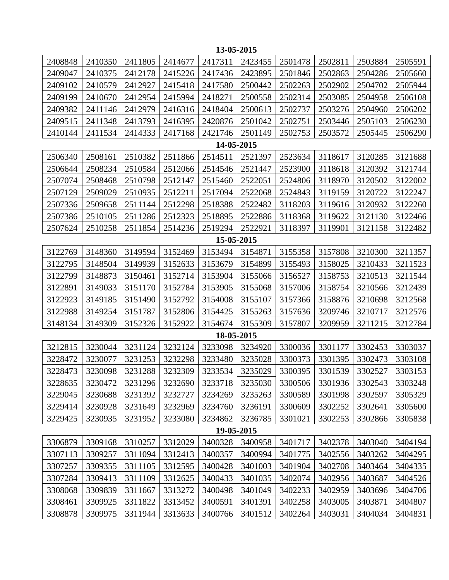| 13-05-2015                                                                                                 |         |         |         |            |         |         |         |         |         |  |  |
|------------------------------------------------------------------------------------------------------------|---------|---------|---------|------------|---------|---------|---------|---------|---------|--|--|
| 2408848                                                                                                    | 2410350 | 2411805 | 2414677 | 2417311    | 2423455 | 2501478 | 2502811 | 2503884 | 2505591 |  |  |
| 2409047                                                                                                    | 2410375 | 2412178 | 2415226 | 2417436    | 2423895 | 2501846 | 2502863 | 2504286 | 2505660 |  |  |
| 2409102                                                                                                    | 2410579 | 2412927 | 2415418 | 2417580    | 2500442 | 2502263 | 2502902 | 2504702 | 2505944 |  |  |
| 2409199                                                                                                    | 2410670 | 2412954 | 2415994 | 2418271    | 2500558 | 2502314 | 2503085 | 2504958 | 2506108 |  |  |
| 2409382                                                                                                    | 2411146 | 2412979 | 2416316 | 2418404    | 2500613 | 2502737 | 2503276 | 2504960 | 2506202 |  |  |
| 2409515                                                                                                    | 2411348 | 2413793 | 2416395 | 2420876    | 2501042 | 2502751 | 2503446 | 2505103 | 2506230 |  |  |
| 2410144                                                                                                    | 2411534 | 2414333 | 2417168 | 2421746    | 2501149 | 2502753 | 2503572 | 2505445 | 2506290 |  |  |
| 14-05-2015                                                                                                 |         |         |         |            |         |         |         |         |         |  |  |
| 2506340<br>2508161<br>2510382<br>2511866<br>2514511<br>2521397<br>2523634<br>3118617<br>3120285<br>3121688 |         |         |         |            |         |         |         |         |         |  |  |
| 2506644                                                                                                    | 2508234 | 2510584 | 2512066 | 2514546    | 2521447 | 2523900 | 3118618 | 3120392 | 3121744 |  |  |
| 2507074                                                                                                    | 2508468 | 2510798 | 2512147 | 2515460    | 2522051 | 2524806 | 3118970 | 3120502 | 3122002 |  |  |
| 2507129                                                                                                    | 2509029 | 2510935 | 2512211 | 2517094    | 2522068 | 2524843 | 3119159 | 3120722 | 3122247 |  |  |
| 2507336                                                                                                    | 2509658 | 2511144 | 2512298 | 2518388    | 2522482 | 3118203 | 3119616 | 3120932 | 3122260 |  |  |
| 2507386                                                                                                    | 2510105 | 2511286 | 2512323 | 2518895    | 2522886 | 3118368 | 3119622 | 3121130 | 3122466 |  |  |
| 2507624                                                                                                    | 2510258 | 2511854 | 2514236 | 2519294    | 2522921 | 3118397 | 3119901 | 3121158 | 3122482 |  |  |
| 15-05-2015                                                                                                 |         |         |         |            |         |         |         |         |         |  |  |
| 3122769                                                                                                    | 3148360 | 3149594 | 3152469 | 3153494    | 3154871 | 3155358 | 3157808 | 3210300 | 3211357 |  |  |
| 3122795                                                                                                    | 3148504 | 3149939 | 3152633 | 3153679    | 3154899 | 3155493 | 3158025 | 3210433 | 3211523 |  |  |
| 3122799                                                                                                    | 3148873 | 3150461 | 3152714 | 3153904    | 3155066 | 3156527 | 3158753 | 3210513 | 3211544 |  |  |
| 3122891                                                                                                    | 3149033 | 3151170 | 3152784 | 3153905    | 3155068 | 3157006 | 3158754 | 3210566 | 3212439 |  |  |
| 3122923                                                                                                    | 3149185 | 3151490 | 3152792 | 3154008    | 3155107 | 3157366 | 3158876 | 3210698 | 3212568 |  |  |
| 3122988                                                                                                    | 3149254 | 3151787 | 3152806 | 3154425    | 3155263 | 3157636 | 3209746 | 3210717 | 3212576 |  |  |
| 3148134                                                                                                    | 3149309 | 3152326 | 3152922 | 3154674    | 3155309 | 3157807 | 3209959 | 3211215 | 3212784 |  |  |
|                                                                                                            |         |         |         | 18-05-2015 |         |         |         |         |         |  |  |
| 3212815                                                                                                    | 3230044 | 3231124 | 3232124 | 3233098    | 3234920 | 3300036 | 3301177 | 3302453 | 3303037 |  |  |
| 3228472                                                                                                    | 3230077 | 3231253 | 3232298 | 3233480    | 3235028 | 3300373 | 3301395 | 3302473 | 3303108 |  |  |
| 3228473                                                                                                    | 3230098 | 3231288 | 3232309 | 3233534    | 3235029 | 3300395 | 3301539 | 3302527 | 3303153 |  |  |
| 3228635                                                                                                    | 3230472 | 3231296 | 3232690 | 3233718    | 3235030 | 3300506 | 3301936 | 3302543 | 3303248 |  |  |
| 3229045                                                                                                    | 3230688 | 3231392 | 3232727 | 3234269    | 3235263 | 3300589 | 3301998 | 3302597 | 3305329 |  |  |
| 3229414                                                                                                    | 3230928 | 3231649 | 3232969 | 3234760    | 3236191 | 3300609 | 3302252 | 3302641 | 3305600 |  |  |
| 3229425                                                                                                    | 3230935 | 3231952 | 3233080 | 3234862    | 3236785 | 3301021 | 3302253 | 3302866 | 3305838 |  |  |
|                                                                                                            |         |         |         | 19-05-2015 |         |         |         |         |         |  |  |
| 3306879                                                                                                    | 3309168 | 3310257 | 3312029 | 3400328    | 3400958 | 3401717 | 3402378 | 3403040 | 3404194 |  |  |
| 3307113                                                                                                    | 3309257 | 3311094 | 3312413 | 3400357    | 3400994 | 3401775 | 3402556 | 3403262 | 3404295 |  |  |
| 3307257                                                                                                    | 3309355 | 3311105 | 3312595 | 3400428    | 3401003 | 3401904 | 3402708 | 3403464 | 3404335 |  |  |
| 3307284                                                                                                    | 3309413 | 3311109 | 3312625 | 3400433    | 3401035 | 3402074 | 3402956 | 3403687 | 3404526 |  |  |
| 3308068                                                                                                    | 3309839 | 3311667 | 3313272 | 3400498    | 3401049 | 3402233 | 3402959 | 3403696 | 3404706 |  |  |
| 3308461                                                                                                    | 3309925 | 3311822 | 3313452 | 3400591    | 3401391 | 3402258 | 3403005 | 3403871 | 3404807 |  |  |
| 3308878                                                                                                    | 3309975 | 3311944 | 3313633 | 3400766    | 3401512 | 3402264 | 3403031 | 3404034 | 3404831 |  |  |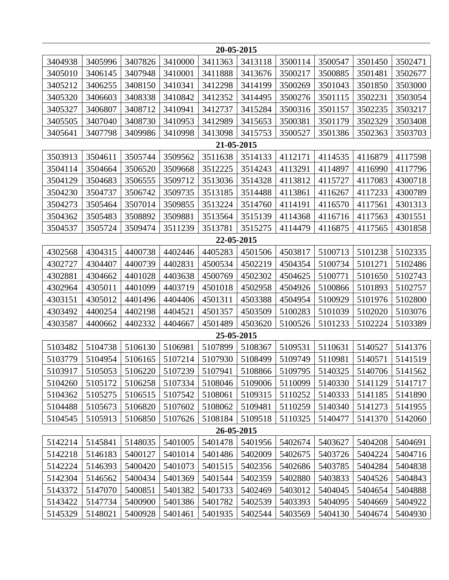| 20-05-2015                                                                                                 |         |         |         |            |         |         |         |         |         |  |  |
|------------------------------------------------------------------------------------------------------------|---------|---------|---------|------------|---------|---------|---------|---------|---------|--|--|
| 3404938                                                                                                    | 3405996 | 3407826 | 3410000 | 3411363    | 3413118 | 3500114 | 3500547 | 3501450 | 3502471 |  |  |
| 3405010                                                                                                    | 3406145 | 3407948 | 3410001 | 3411888    | 3413676 | 3500217 | 3500885 | 3501481 | 3502677 |  |  |
| 3405212                                                                                                    | 3406255 | 3408150 | 3410341 | 3412298    | 3414199 | 3500269 | 3501043 | 3501850 | 3503000 |  |  |
| 3405320                                                                                                    | 3406603 | 3408338 | 3410842 | 3412352    | 3414495 | 3500276 | 3501115 | 3502231 | 3503054 |  |  |
| 3405327                                                                                                    | 3406807 | 3408712 | 3410941 | 3412737    | 3415284 | 3500316 | 3501157 | 3502235 | 3503217 |  |  |
| 3405505                                                                                                    | 3407040 | 3408730 | 3410953 | 3412989    | 3415653 | 3500381 | 3501179 | 3502329 | 3503408 |  |  |
| 3405641                                                                                                    | 3407798 | 3409986 | 3410998 | 3413098    | 3415753 | 3500527 | 3501386 | 3502363 | 3503703 |  |  |
| 21-05-2015                                                                                                 |         |         |         |            |         |         |         |         |         |  |  |
| 3503913<br>3504611<br>3505744<br>3509562<br>3511638<br>3514133<br>4114535<br>4117598<br>4112171<br>4116879 |         |         |         |            |         |         |         |         |         |  |  |
| 3504114                                                                                                    | 3504664 | 3506520 | 3509668 | 3512225    | 3514243 | 4113291 | 4114897 | 4116990 | 4117796 |  |  |
| 3504129                                                                                                    | 3504683 | 3506555 | 3509712 | 3513036    | 3514328 | 4113812 | 4115727 | 4117083 | 4300718 |  |  |
| 3504230                                                                                                    | 3504737 | 3506742 | 3509735 | 3513185    | 3514488 | 4113861 | 4116267 | 4117233 | 4300789 |  |  |
| 3504273                                                                                                    | 3505464 | 3507014 | 3509855 | 3513224    | 3514760 | 4114191 | 4116570 | 4117561 | 4301313 |  |  |
| 3504362                                                                                                    | 3505483 | 3508892 | 3509881 | 3513564    | 3515139 | 4114368 | 4116716 | 4117563 | 4301551 |  |  |
| 3504537                                                                                                    | 3505724 | 3509474 | 3511239 | 3513781    | 3515275 | 4114479 | 4116875 | 4117565 | 4301858 |  |  |
| 22-05-2015                                                                                                 |         |         |         |            |         |         |         |         |         |  |  |
| 4302568                                                                                                    | 4304315 | 4400738 | 4402446 | 4405283    | 4501506 | 4503817 | 5100713 | 5101238 | 5102335 |  |  |
| 4302727                                                                                                    | 4304407 | 4400739 | 4402831 | 4500534    | 4502219 | 4504354 | 5100734 | 5101271 | 5102486 |  |  |
| 4302881                                                                                                    | 4304662 | 4401028 | 4403638 | 4500769    | 4502302 | 4504625 | 5100771 | 5101650 | 5102743 |  |  |
| 4302964                                                                                                    | 4305011 | 4401099 | 4403719 | 4501018    | 4502958 | 4504926 | 5100866 | 5101893 | 5102757 |  |  |
| 4303151                                                                                                    | 4305012 | 4401496 | 4404406 | 4501311    | 4503388 | 4504954 | 5100929 | 5101976 | 5102800 |  |  |
| 4303492                                                                                                    | 4400254 | 4402198 | 4404521 | 4501357    | 4503509 | 5100283 | 5101039 | 5102020 | 5103076 |  |  |
| 4303587                                                                                                    | 4400662 | 4402332 | 4404667 | 4501489    | 4503620 | 5100526 | 5101233 | 5102224 | 5103389 |  |  |
|                                                                                                            |         |         |         | 25-05-2015 |         |         |         |         |         |  |  |
| 5103482                                                                                                    | 5104738 | 5106130 | 5106981 | 5107899    | 5108367 | 5109531 | 5110631 | 5140527 | 5141376 |  |  |
| 5103779                                                                                                    | 5104954 | 5106165 | 5107214 | 5107930    | 5108499 | 5109749 | 5110981 | 5140571 | 5141519 |  |  |
| 5103917                                                                                                    | 5105053 | 5106220 | 5107239 | 5107941    | 5108866 | 5109795 | 5140325 | 5140706 | 5141562 |  |  |
| 5104260                                                                                                    | 5105172 | 5106258 | 5107334 | 5108046    | 5109006 | 5110099 | 5140330 | 5141129 | 5141717 |  |  |
| 5104362                                                                                                    | 5105275 | 5106515 | 5107542 | 5108061    | 5109315 | 5110252 | 5140333 | 5141185 | 5141890 |  |  |
| 5104488                                                                                                    | 5105673 | 5106820 | 5107602 | 5108062    | 5109481 | 5110259 | 5140340 | 5141273 | 5141955 |  |  |
| 5104545                                                                                                    | 5105913 | 5106850 | 5107626 | 5108184    | 5109518 | 5110325 | 5140477 | 5141370 | 5142060 |  |  |
| 26-05-2015                                                                                                 |         |         |         |            |         |         |         |         |         |  |  |
| 5142214                                                                                                    | 5145841 | 5148035 | 5401005 | 5401478    | 5401956 | 5402674 | 5403627 | 5404208 | 5404691 |  |  |
| 5142218                                                                                                    | 5146183 | 5400127 | 5401014 | 5401486    | 5402009 | 5402675 | 5403726 | 5404224 | 5404716 |  |  |
| 5142224                                                                                                    | 5146393 | 5400420 | 5401073 | 5401515    | 5402356 | 5402686 | 5403785 | 5404284 | 5404838 |  |  |
| 5142304                                                                                                    | 5146562 | 5400434 | 5401369 | 5401544    | 5402359 | 5402880 | 5403833 | 5404526 | 5404843 |  |  |
| 5143372                                                                                                    | 5147070 | 5400851 | 5401382 | 5401733    | 5402469 | 5403012 | 5404045 | 5404654 | 5404888 |  |  |
| 5143422                                                                                                    | 5147734 | 5400900 | 5401386 | 5401782    | 5402539 | 5403393 | 5404095 | 5404669 | 5404922 |  |  |
| 5145329                                                                                                    | 5148021 | 5400928 | 5401461 | 5401935    | 5402544 | 5403569 | 5404130 | 5404674 | 5404930 |  |  |